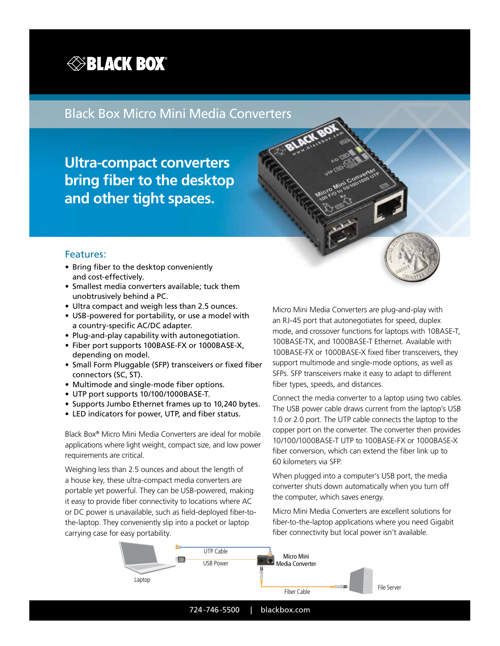

## Black Box Micro Mini Media Converters

**Ultra-compact converters bring fiber to the desktop and other tight spaces.**

#### Features:

- Bring fiber to the desktop conveniently and cost-effectively.
- Smallest media converters available; tuck them unobtrusively behind a PC.
- Ultra compact and weigh less than 2.5 ounces.
- USB-powered for portability, or use a model with a country-specific AC/DC adapter.
- Plug-and-play capability with autonegotiation.
- Fiber port supports 100BASE-FX or 1000BASE-X, depending on model.
- Small Form Pluggable (SFP) transceivers or fixed fiber connectors (SC, ST).
- Multimode and single-mode fiber options.
- UTP port supports 10/100/1000BASE-T.
- Supports Jumbo Ethernet frames up to 10,240 bytes.
- LED indicators for power, UTP, and fiber status.

Black Box® Micro Mini Media Converters are ideal for mobile applications where light weight, compact size, and low power requirements are critical.

Weighing less than 2.5 ounces and about the length of a house key, these ultra-compact media converters are portable yet powerful. They can be USB-powered, making it easy to provide fiber connectivity to locations where AC or DC power is unavailable, such as field-deployed fiber-tothe-laptop. They conveniently slip into a pocket or laptop carrying case for easy portability.

Micro Mini Media Converters are plug-and-play with an RJ-45 port that autonegotiates for speed, duplex mode, and crossover functions for laptops with 10BASE-T, 100BASE-TX, and 1000BASE-T Ethernet. Available with 100BASE-FX or 1000BASE-X fixed fiber transceivers, they support multimode and single-mode options, as well as SFPs. SFP transceivers make it easy to adapt to different fiber types, speeds, and distances.

Connect the media converter to a laptop using two cables. The USB power cable draws current from the laptop's USB 1.0 or 2.0 port. The UTP cable connects the laptop to the copper port on the converter. The converter then provides 10/100/1000BASE-T UTP to 100BASE-FX or 1000BASE-X fiber conversion, which can extend the fiber link up to 60 kilometers via SFP.

When plugged into a computer's USB port, the media converter shuts down automatically when you turn off the computer, which saves energy.

Micro Mini Media Converters are excellent solutions for fiber-to-the-laptop applications where you need Gigabit fiber connectivity but local power isn't available.



724-746-5500 | blackbox.com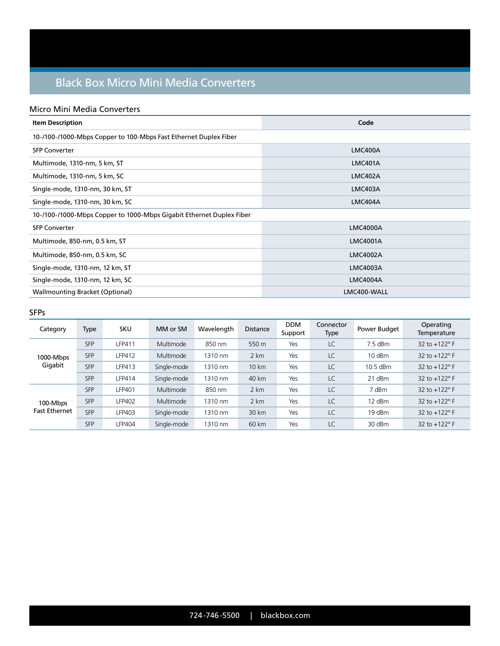# Black Box Micro Mini Media Converters

#### Micro Mini Media Converters

| <b>Item Description</b>                                              | Code            |  |  |  |  |  |
|----------------------------------------------------------------------|-----------------|--|--|--|--|--|
| 10-/100-/1000-Mbps Copper to 100-Mbps Fast Ethernet Duplex Fiber     |                 |  |  |  |  |  |
| <b>SFP Converter</b>                                                 | LMC400A         |  |  |  |  |  |
| Multimode, 1310-nm, 5 km, ST                                         | <b>LMC401A</b>  |  |  |  |  |  |
| Multimode, 1310-nm, 5 km, SC                                         | <b>LMC402A</b>  |  |  |  |  |  |
| Single-mode, 1310-nm, 30 km, ST                                      | LMC403A         |  |  |  |  |  |
| Single-mode, 1310-nm, 30 km, SC                                      | LMC404A         |  |  |  |  |  |
| 10-/100-/1000-Mbps Copper to 1000-Mbps Gigabit Ethernet Duplex Fiber |                 |  |  |  |  |  |
| <b>SFP Converter</b>                                                 | <b>LMC4000A</b> |  |  |  |  |  |
| Multimode, 850-nm, 0.5 km, ST                                        | <b>LMC4001A</b> |  |  |  |  |  |
| Multimode, 850-nm, 0.5 km, SC                                        | <b>LMC4002A</b> |  |  |  |  |  |
| Single-mode, 1310-nm, 12 km, ST                                      | <b>LMC4003A</b> |  |  |  |  |  |
| Single-mode, 1310-nm, 12 km, SC                                      | <b>LMC4004A</b> |  |  |  |  |  |
| <b>Wallmounting Bracket (Optional)</b>                               | LMC400-WALL     |  |  |  |  |  |

#### SFPs

| Category                         | <b>Type</b> | <b>SKU</b>    | MM or SM    | Wavelength | <b>Distance</b> | <b>DDM</b><br>Support | Connector<br>Type | Power Budget | Operating<br>Temperature |
|----------------------------------|-------------|---------------|-------------|------------|-----------------|-----------------------|-------------------|--------------|--------------------------|
| 1000-Mbps<br>Gigabit             | <b>SFP</b>  | LFP411        | Multimode   | 850 nm     | 550 m           | Yes                   | LC                | 7.5 dBm      | 32 to $+122^{\circ}$ F   |
|                                  | <b>SFP</b>  | <b>LFP412</b> | Multimode   | 1310 nm    | 2 km            | Yes                   | LC                | 10 dBm       | 32 to +122° F            |
|                                  | <b>SFP</b>  | LFP413        | Single-mode | 1310 nm    | 10 km           | Yes                   | LC                | 10.5 dBm     | 32 to $+122^{\circ}$ F   |
|                                  | <b>SFP</b>  | LFP414        | Single-mode | 1310 nm    | 40 km           | Yes                   | LC                | 21 dBm       | 32 to +122° F            |
| 100-Mbps<br><b>Fast Ethernet</b> | <b>SFP</b>  | <b>LFP401</b> | Multimode   | 850 nm     | 2 km            | Yes                   | LC                | 7 dBm        | 32 to +122° F            |
|                                  | <b>SFP</b>  | <b>LFP402</b> | Multimode   | 1310 nm    | 2 km            | Yes                   | LC                | 12 dBm       | 32 to $+122^{\circ}$ F   |
|                                  | <b>SFP</b>  | <b>LFP403</b> | Single-mode | 1310 nm    | 30 km           | Yes                   | LC                | 19 dBm       | 32 to $+122^{\circ}$ F   |
|                                  | <b>SFP</b>  | <b>LFP404</b> | Single-mode | 1310 nm    | 60 km           | Yes                   | LC                | 30 dBm       | 32 to $+122^{\circ}$ F   |